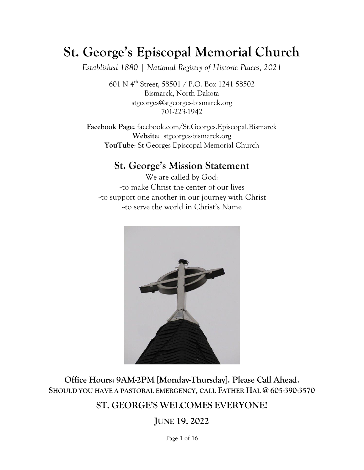# **St. George's Episcopal Memorial Church**

*Established 1880 | National Registry of Historic Places, 2021*

601 N 4th Street, 58501 / P.O. Box 1241 58502 Bismarck, North Dakota [stgeorges@stgeorges-bismarck.org](mailto:stgeorges@stgeorges-bismarck.org) 701-223-1942

**Facebook Page:** facebook.com/St.Georges.Episcopal.Bismarck **Website**: stgeorges-bismarck.org **YouTube**: St Georges Episcopal Memorial Church

## **St. George's Mission Statement**

We are called by God: --to make Christ the center of our lives --to support one another in our journey with Christ --to serve the world in Christ's Name



**Office Hours: 9AM-2PM [Monday-Thursday]. Please Call Ahead. SHOULD YOU HAVE A PASTORAL EMERGENCY, CALL FATHER HAL @ 605-390-3570**

## **ST. GEORGE'S WELCOMES EVERYONE!**

**JUNE 19, 2022**

Page **1** of **16**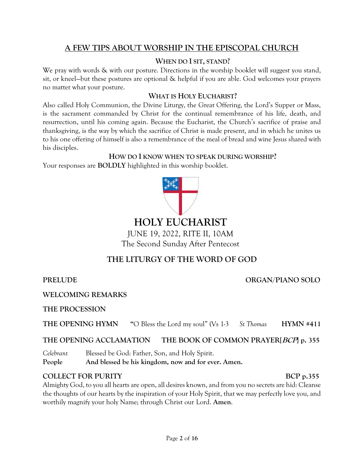### **A FEW TIPS ABOUT WORSHIP IN THE EPISCOPAL CHURCH**

### **WHEN DO I SIT, STAND?**

We pray with words & with our posture. Directions in the worship booklet will suggest you stand, sit, or kneel—but these postures are optional & helpful if you are able. God welcomes your prayers no matter what your posture.

#### **WHAT IS HOLY EUCHARIST?**

Also called Holy Communion, the Divine Liturgy, the Great Offering, the Lord's Supper or Mass, is the sacrament commanded by Christ for the continual remembrance of his life, death, and resurrection, until his coming again. Because the Eucharist, the Church's sacrifice of praise and thanksgiving, is the way by which the sacrifice of Christ is made present, and in which he unites us to his one offering of himself is also a remembrance of the meal of bread and wine Jesus shared with his disciples.

#### **HOW DO I KNOW WHEN TO SPEAK DURING WORSHIP?**

Your responses are **BOLDLY** highlighted in this worship booklet.



JUNE 19, 2022, RITE II, 10AM The Second Sunday After Pentecost

## **THE LITURGY OF THE WORD OF GOD**

#### **PRELUDE** .............**ORGAN/PIANO SOLO**

**WELCOMING REMARKS**

**THE PROCESSION**

**THE OPENING HYMN "**O Bless the Lord my soul" (Vs 1-3 *St Thomas* **HYMN #411**

#### **THE OPENING ACCLAMATION THE BOOK OF COMMON PRAYER[BCP] p. 355**

*Celebrant* Blessed be God: Father, Son, and Holy Spirit. **People And blessed be his kingdom, now and for ever. Amen.**

#### **COLLECT FOR PURITY** BCP p.355

Almighty God, to you all hearts are open, all desires known, and from you no secrets are hid: Cleanse the thoughts of our hearts by the inspiration of your Holy Spirit, that we may perfectly love you, and worthily magnify your holy Name; through Christ our Lord. **Amen**.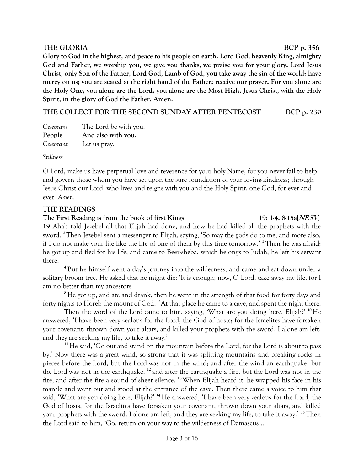#### **THE GLORIA BCP** p. 356

**Glory to God in the highest, and peace to his people on earth. Lord God, heavenly King, almighty God and Father, we worship you, we give you thanks, we praise you for your glory. Lord Jesus Christ, only Son of the Father, Lord God, Lamb of God, you take away the sin of the world: have mercy on us; you are seated at the right hand of the Father: receive our prayer. For you alone are the Holy One, you alone are the Lord, you alone are the Most High, Jesus Christ, with the Holy Spirit, in the glory of God the Father. Amen.**

**THE COLLECT FOR THE SECOND SUNDAY AFTER PENTECOST BCP p. 230**

| Celebrant | The Lord be with you. |
|-----------|-----------------------|
| People    | And also with you.    |
| Celebrant | Let us pray.          |

*Stillness*

O Lord, make us have perpetual love and reverence for your holy Name, for you never fail to help and govern those whom you have set upon the sure foundation of your loving-kindness; through Jesus Christ our Lord, who lives and reigns with you and the Holy Spirit, one God, for ever and ever. *Amen.*

#### **THE READINGS**

#### **The First Reading is from the book of first Kings 19: 1-4, 8-15a[NRSV]**

**19** Ahab told Jezebel all that Elijah had done, and how he had killed all the prophets with the sword. **<sup>2</sup>**Then Jezebel sent a messenger to Elijah, saying, 'So may the gods do to me, and more also, if I do not make your life like the life of one of them by this time tomorrow.' **<sup>3</sup>**Then he was afraid; he got up and fled for his life, and came to Beer-sheba, which belongs to Judah; he left his servant there.

**<sup>4</sup>**But he himself went a day's journey into the wilderness, and came and sat down under a solitary broom tree. He asked that he might die: 'It is enough; now, O Lord, take away my life, for I am no better than my ancestors.

<sup>8</sup>He got up, and ate and drank; then he went in the strength of that food for forty days and forty nights to Horeb the mount of God. **<sup>9</sup>**At that place he came to a cave, and spent the night there.

Then the word of the Lord came to him, saying, 'What are you doing here, Elijah?' **<sup>10</sup>**He answered, 'I have been very zealous for the Lord, the God of hosts; for the Israelites have forsaken your covenant, thrown down your altars, and killed your prophets with the sword. I alone am left, and they are seeking my life, to take it away.'

**<sup>11</sup>**He said, 'Go out and stand on the mountain before the Lord, for the Lord is about to pass by.' Now there was a great wind, so strong that it was splitting mountains and breaking rocks in pieces before the Lord, but the Lord was not in the wind; and after the wind an earthquake, but the Lord was not in the earthquake; **<sup>12</sup>** and after the earthquake a fire, but the Lord was not in the fire; and after the fire a sound of sheer silence. **<sup>13</sup>**When Elijah heard it, he wrapped his face in his mantle and went out and stood at the entrance of the cave. Then there came a voice to him that said, 'What are you doing here, Elijah?' **<sup>14</sup>**He answered, 'I have been very zealous for the Lord, the God of hosts; for the Israelites have forsaken your covenant, thrown down your altars, and killed your prophets with the sword. I alone am left, and they are seeking my life, to take it away.' **<sup>15</sup>**Then the Lord said to him, 'Go, return on your way to the wilderness of Damascus…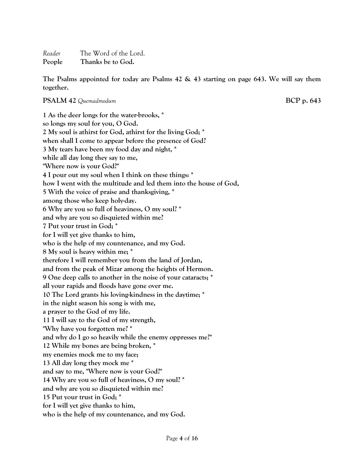*Reader* The Word of the Lord. **People Thanks be to God.**

**The Psalms appointed for today are Psalms 42 & 43 starting on page 643. We will say them together.**

**PSALM 42** *Quemadmodum* **BCP p. 643**

**1 As the deer longs for the water-brooks, \* so longs my soul for you, O God. 2 My soul is athirst for God, athirst for the living God; \* when shall I come to appear before the presence of God? 3 My tears have been my food day and night, \* while all day long they say to me, "Where now is your God?" 4 I pour out my soul when I think on these things: \* how I went with the multitude and led them into the house of God, 5 With the voice of praise and thanksgiving, \* among those who keep holy-day. 6 Why are you so full of heaviness, O my soul? \* and why are you so disquieted within me? 7 Put your trust in God; \* for I will yet give thanks to him, who is the help of my countenance, and my God. 8 My soul is heavy within me; \* therefore I will remember you from the land of Jordan, and from the peak of Mizar among the heights of Hermon. 9 One deep calls to another in the noise of your cataracts; \* all your rapids and floods have gone over me. 10 The Lord grants his loving-kindness in the daytime; \* in the night season his song is with me, a prayer to the God of my life. 11 I will say to the God of my strength, "Why have you forgotten me? \* and why do I go so heavily while the enemy oppresses me?" 12 While my bones are being broken, \* my enemies mock me to my face; 13 All day long they mock me \* and say to me, "Where now is your God?" 14 Why are you so full of heaviness, O my soul? \* and why are you so disquieted within me? 15 Put your trust in God; \* for I will yet give thanks to him, who is the help of my countenance, and my God.**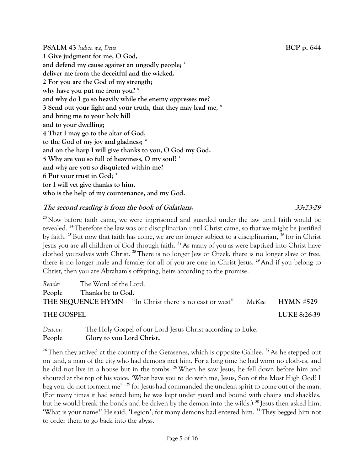**PSALM 43** *Judica me, Deus* **BCP p. 644 1 Give judgment for me, O God, and defend my cause against an ungodly people; \* deliver me from the deceitful and the wicked. 2 For you are the God of my strength; why have you put me from you? \* and why do I go so heavily while the enemy oppresses me? 3 Send out your light and your truth, that they may lead me, \* and bring me to your holy hill and to your dwelling; 4 That I may go to the altar of God, to the God of my joy and gladness; \* and on the harp I will give thanks to you, O God my God. 5 Why are you so full of heaviness, O my soul? \* and why are you so disquieted within me? 6 Put your trust in God; \* for I will yet give thanks to him, who is the help of my countenance, and my God.**

### **The second reading is from the book of Galatians. 33:23-29**

**<sup>23</sup>** Now before faith came, we were imprisoned and guarded under the law until faith would be revealed. **<sup>24</sup>**Therefore the law was our disciplinarian until Christ came, so that we might be justified by faith. **<sup>25</sup>**But now that faith has come, we are no longer subject to a disciplinarian, **<sup>26</sup>** for in Christ Jesus you are all children of God through faith. **<sup>27</sup>**As many of you as were baptized into Christ have clothed yourselves with Christ. **<sup>28</sup>**There is no longer Jew or Greek, there is no longer slave or free, there is no longer male and female; for all of you are one in Christ Jesus. **<sup>29</sup>**And if you belong to Christ, then you are Abraham's offspring, heirs according to the promise.

| Reader     | The Word of the Lord. |                                                               |  |                 |  |  |  |  |  |
|------------|-----------------------|---------------------------------------------------------------|--|-----------------|--|--|--|--|--|
| People     | Thanks be to God.     |                                                               |  |                 |  |  |  |  |  |
|            |                       | <b>THE SEQUENCE HYMN</b> "In Christ there is no east or west" |  | McKee HYMN #529 |  |  |  |  |  |
| THE GOSPEL |                       |                                                               |  | LUKE 8:26-39    |  |  |  |  |  |

*Deacon* The Holy Gospel of our Lord Jesus Christ according to Luke. **People Glory to you Lord Christ.**

<sup>26</sup>Then they arrived at the country of the Gerasenes, which is opposite Galilee.<sup>27</sup>As he stepped out on land, a man of the city who had demons met him. For a long time he had worn no cloth-es, and he did not live in a house but in the tombs. **<sup>28</sup>**When he saw Jesus, he fell down before him and shouted at the top of his voice, 'What have you to do with me, Jesus, Son of the Most High God? I beg you, do not torment me'— **<sup>29</sup>** for Jesushad commanded the unclean spirit to come out of the man. (For many times it had seized him; he was kept under guard and bound with chains and shackles, but he would break the bonds and be driven by the demon into the wilds.) **<sup>30</sup>** Jesus then asked him, 'What is your name?' He said, 'Legion'; for many demons had entered him. **<sup>31</sup>**They begged him not to order them to go back into the abyss.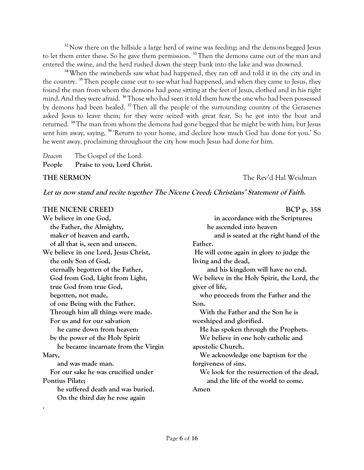<sup>32</sup> Now there on the hillside a large herd of swine was feeding; and the demons begged Jesus to let them enter these. So he gave them permission. **<sup>33</sup>**Then the demons came out of the man and entered the swine, and the herd rushed down the steep bank into the lake and was drowned.

**<sup>34</sup>**When the swineherds saw what had happened, they ran off and told it in the city and in the country. **<sup>35</sup>**Then people came out to see what had happened, and when they came to Jesus, they found the man from whom the demons had gone sitting at the feet of Jesus, clothed and in his right mind. And they were afraid. **<sup>36</sup>** Those who had seen it told them how the one who had been possessed by demons had been healed. **<sup>37</sup>**Then all the people of the surrounding country of the Gerasenes asked Jesus to leave them; for they were seized with great fear. So he got into the boat and returned. **<sup>38</sup>**The man from whom the demons had gone begged that he might be with him; but Jesus sent him away, saying, **<sup>39</sup>** 'Return to your home, and declare how much God has done for you.' So he went away, proclaiming throughout the city how much Jesus had done for him.

*Deacon* The Gospel of the Lord. **People Praise to you, Lord Christ.**

**.**

**THE SERMON THE SERMON** *THE SERMON* 

#### **Let us now stand and recite together The Nicene Creed; Christians' Statement of Faith.**

#### THE NICENE CREED BCP p. 358

**We believe in one God, the Father, the Almighty, maker of heaven and earth, of all that is, seen and unseen. We believe in one Lord, Jesus Christ, the only Son of God, eternally begotten of the Father, God from God, Light from Light, true God from true God, begotten, not made, of one Being with the Father. Through him all things were made. For us and for our salvation he came down from heaven: by the power of the Holy Spirit he became incarnate from the Virgin Mary, and was made man. For our sake he was crucified under Pontius Pilate; he suffered death and was buried. On the third day he rose again**

| DUI P.JJO                                    |
|----------------------------------------------|
| in accordance with the Scriptures;           |
| he ascended into heaven                      |
| and is seated at the right hand of the       |
| Father.                                      |
| He will come again in glory to judge the     |
| living and the dead,                         |
| and his kingdom will have no end.            |
| We believe in the Holy Spirit, the Lord, the |
| giver of life,                               |
| who proceeds from the Father and the         |
| Son.                                         |
| With the Father and the Son he is            |
| worshiped and glorified.                     |
| He has spoken through the Prophets.          |
| We believe in one holy catholic and          |
| apostolic Church.                            |
| We acknowledge one baptism for the           |
| forgiveness of sins.                         |
| We look for the resurrection of the dead,    |
| and the life of the world to come.           |
| Amen                                         |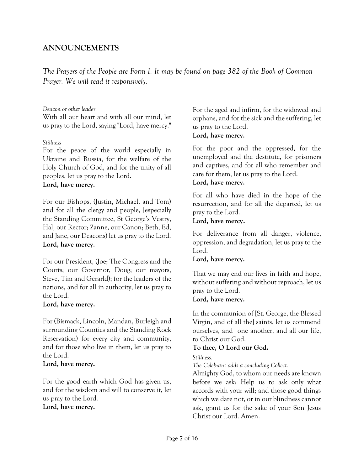### **ANNOUNCEMENTS**

*The Prayers of the People are Form I. It may be found on page 382 of the Book of Common Prayer. We will read it responsively.*

#### *Deacon or other leader*

With all our heart and with all our mind, let us pray to the Lord, saying "Lord, have mercy."

#### *Stillness*

For the peace of the world especially in Ukraine and Russia, for the welfare of the Holy Church of God, and for the unity of all peoples, let us pray to the Lord. **Lord, have mercy.**

For our Bishops, (Justin, Michael, and Tom) and for all the clergy and people, [especially the Standing Committee, St George's Vestry, Hal, our Rector; Zanne, our Canon; Beth, Ed, and Jane, our Deacons) let us pray to the Lord. **Lord, have mercy.**

For our President, (Joe; The Congress and the Courts; our Governor, Doug; our mayors, Steve, Tim and Gerarld); for the leaders of the nations, and for all in authority, let us pray to the Lord.

#### **Lord, have mercy.**

For (Bismack, Lincoln, Mandan, Burleigh and surrounding Counties and the Standing Rock Reservation) for every city and community, and for those who live in them, let us pray to the Lord.

#### **Lord, have mercy.**

For the good earth which God has given us, and for the wisdom and will to conserve it, let us pray to the Lord.

#### **Lord, have mercy.**

For the aged and infirm, for the widowed and orphans, and for the sick and the suffering, let us pray to the Lord. **Lord, have mercy.**

For the poor and the oppressed, for the unemployed and the destitute, for prisoners and captives, and for all who remember and care for them, let us pray to the Lord.

#### **Lord, have mercy.**

For all who have died in the hope of the resurrection, and for all the departed, let us pray to the Lord.

#### **Lord, have mercy.**

For deliverance from all danger, violence, oppression, and degradation, let us pray to the Lord.

#### **Lord, have mercy.**

That we may end our lives in faith and hope, without suffering and without reproach, let us pray to the Lord.

#### **Lord, have mercy.**

In the communion of [St. George, the Blessed Virgin, and of all the] saints, let us commend ourselves, and one another, and all our life, to Christ our God.

#### **To thee, O Lord our God.**

*Stillness.*

*The Celebrant adds a concluding Collect.*

Almighty God, to whom our needs are known before we ask: Help us to ask only what accords with your will; and those good things which we dare not, or in our blindness cannot ask, grant us for the sake of your Son Jesus Christ our Lord. Amen.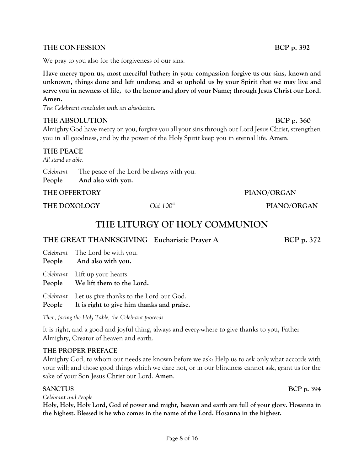#### THE CONFESSION BCP p. 392

We pray to you also for the forgiveness of our sins.

**Have mercy upon us, most merciful Father; in your compassion forgive us our sins, known and unknown, things done and left undone; and so uphold us by your Spirit that we may live and serve you in newness of life, to the honor and glory of your Name; through Jesus Christ our Lord. Amen.**

*The Celebrant concludes with an absolution.*

#### **THE ABSOLUTION BCP** p. 360

Almighty God have mercy on you, forgive you all your sins through our Lord Jesus Christ, strengthen you in all goodness, and by the power of the Holy Spirit keep you in eternal life. **Amen***.* 

#### **THE PEACE**

*All stand as able.*

| Celebrant | The peace of the Lord be always with you. |
|-----------|-------------------------------------------|
| People    | And also with you.                        |

#### **THE OFFERTORY PIANO/ORGAN**

**THE DOXOLOGY** *Old 100th* **PIANO/ORGAN**

## **THE LITURGY OF HOLY COMMUNION**

#### THE GREAT THANKSGIVING Eucharistic Prayer A BCP p. 372

|        | Celebrant The Lord be with you.                             |
|--------|-------------------------------------------------------------|
|        | People And also with you.                                   |
| People | Celebrant Lift up your hearts.<br>We lift them to the Lord. |

*Celebrant* Let us give thanks to the Lord our God.

#### **People It is right to give him thanks and praise.**

*Then, facing the Holy Table, the Celebrant proceeds*

It is right, and a good and joyful thing, always and every-where to give thanks to you, Father Almighty, Creator of heaven and earth.

#### **THE PROPER PREFACE**

Almighty God, to whom our needs are known before we ask: Help us to ask only what accords with your will; and those good things which we dare not, or in our blindness cannot ask, grant us for the sake of your Son Jesus Christ our Lord. **Amen**.

#### **SANCTUS** BCP p. 394

*Celebrant and People*

**Holy, Holy, Holy Lord, God of power and might, heaven and earth are full of your glory. Hosanna in the highest. Blessed is he who comes in the name of the Lord. Hosanna in the highest.**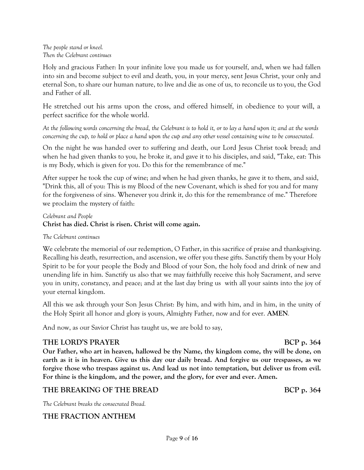#### *The people stand or kneel. Then the Celebrant continues*

Holy and gracious Father: In your infinite love you made us for yourself, and, when we had fallen into sin and become subject to evil and death, you, in your mercy, sent Jesus Christ, your only and eternal Son, to share our human nature, to live and die as one of us, to reconcile us to you, the God and Father of all.

He stretched out his arms upon the cross, and offered himself, in obedience to your will, a perfect sacrifice for the whole world.

*At the following words concerning the bread, the Celebrant is to hold it, or to lay a hand upon it; and at the words concerning the cup, to hold or place a hand upon the cup and any other vessel containing wine to be consecrated.*

On the night he was handed over to suffering and death, our Lord Jesus Christ took bread; and when he had given thanks to you, he broke it, and gave it to his disciples, and said, "Take, eat: This is my Body, which is given for you. Do this for the remembrance of me."

After supper he took the cup of wine; and when he had given thanks, he gave it to them, and said, "Drink this, all of you: This is my Blood of the new Covenant, which is shed for you and for many for the forgiveness of sins. Whenever you drink it, do this for the remembrance of me." Therefore we proclaim the mystery of faith:

#### *Celebrant and People* **Christ has died. Christ is risen. Christ will come again.**

#### *The Celebrant continues*

We celebrate the memorial of our redemption, O Father, in this sacrifice of praise and thanksgiving. Recalling his death, resurrection, and ascension, we offer you these gifts. Sanctify them by your Holy Spirit to be for your people the Body and Blood of your Son, the holy food and drink of new and unending life in him. Sanctify us also that we may faithfully receive this holy Sacrament, and serve you in unity, constancy, and peace; and at the last day bring us with all your saints into the joy of your eternal kingdom.

All this we ask through your Son Jesus Christ: By him, and with him, and in him, in the unity of the Holy Spirit all honor and glory is yours, Almighty Father, now and for ever. **AMEN***.*

And now, as our Savior Christ has taught us, we are bold to say,

#### **THE LORD'S PRAYER** BCP p. 364

**Our Father, who art in heaven, hallowed be thy Name, thy kingdom come, thy will be done, on earth as it is in heaven. Give us this day our daily bread. And forgive us our trespasses, as we forgive those who trespass against us. And lead us not into temptation, but deliver us from evil. For thine is the kingdom, and the power, and the glory, for ever and ever. Amen.**

#### THE BREAKING OF THE BREAD BCP p. 364

*The Celebrant breaks the consecrated Bread.*

#### **THE FRACTION ANTHEM**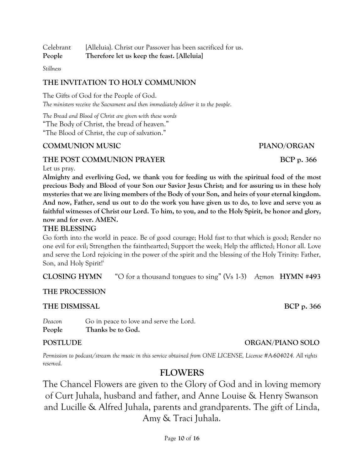Celebrant [Alleluia}. Christ our Passover has been sacrificed for us. **People Therefore let us keep the feast. [Alleluia]**

*Stillness*

#### **THE INVITATION TO HOLY COMMUNION**

The Gifts of God for the People of God. *The ministers receive the Sacrament and then immediately deliver it to the people*.

*The Bread and Blood of Christ are given with these words* "The Body of Christ, the bread of heaven." "The Blood of Christ, the cup of salvation."

### **COMMUNION MUSIC PIANO/ORGAN**

### THE POST COMMUNION PRAYER BCP p. 366

Let us pray.

**Almighty and everliving God, we thank you for feeding us with the spiritual food of the most precious Body and Blood of your Son our Savior Jesus Christ; and for assuring us in these holy mysteries that we are living members of the Body of your Son, and heirs of your eternal kingdom. And now, Father, send us out to do the work you have given us to do, to love and serve you as faithful witnesses of Christ our Lord. To him, to you, and to the Holy Spirit, be honor and glory, now and for ever. AMEN.**

#### **THE BLESSING**

Go forth into the world in peace. Be of good courage; Hold fast to that which is good; Render no one evil for evil; Strengthen the fainthearted; Support the week; Help the afflicted; Honor all. Love and serve the Lord rejoicing in the power of the spirit and the blessing of the Holy Trinity: Father, Son, and Holy Spirit!

**CLOSING HYMN** "O for a thousand tongues to sing" (Vs 1-3) *Azmon* **HYMN #493**

#### **THE PROCESSION**

#### THE DISMISSAL BCP p. 366

*Deacon* Go in peace to love and serve the Lord. **People Thanks be to God.**

*Permission to podcast/stream the music in this service obtained from ONE LICENSE, License #A-604024. All rights reserved.*

## **FLOWERS**

The Chancel Flowers are given to the Glory of God and in loving memory of Curt Juhala, husband and father, and Anne Louise & Henry Swanson and Lucille & Alfred Juhala, parents and grandparents. The gift of Linda, Amy & Traci Juhala.

## **POSTLUDE CONSUMING SOLO**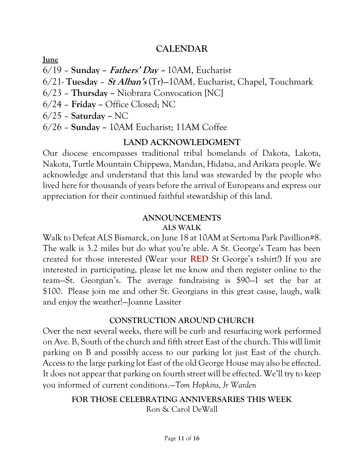## **CALENDAR**

**June**

- 6/19 **Sunday – Fathers' Day –** 10AM, Eucharist
- 6/21- **Tuesday St Alban's** (Tr)—10AM, Eucharist, Chapel, Touchmark
- 6/23 **Thursday –** Niobrara Convocation [NC]
- 6/24 **Friday –** Office Closed; NC
- 6/25 **Saturday –** NC
- 6/26 **Sunday –** 10AM Eucharist; 11AM Coffee

## **LAND ACKNOWLEDGMENT**

Our diocese encompasses traditional tribal homelands of Dakota, Lakota, Nakota, Turtle Mountain Chippewa, Mandan, Hidatsa, and Arikara people. We acknowledge and understand that this land was stewarded by the people who lived here for thousands of years before the arrival of Europeans and express our appreciation for their continued faithful stewardship of this land.

## **ANNOUNCEMENTS ALS WALK**

[Walk to Defeat ALS Bismarck,](https://nam10.safelinks.protection.outlook.com/?url=https%3A%2F%2Fsecure2.convio.net%2Falsa%2Fsite%2FTR%2FWalks%2FMinnesota%3Ffr_id%3D14955%26pg%3Dentry%26NONCE_TOKEN%3D54CD68D2B07FAD90E6C314569C0C496A&data=05%7C01%7Cjllassiter%40umary.edu%7Cdd16b8a207d7407ae4cf08da44192e09%7Cac3cee11699b428bb3ed3d3053bd8f03%7C1%7C0%7C637897172351019019%7CUnknown%7CTWFpbGZsb3d8eyJWIjoiMC4wLjAwMDAiLCJQIjoiV2luMzIiLCJBTiI6Ik1haWwiLCJXVCI6Mn0%3D%7C3000%7C%7C%7C&sdata=ReN%2F8U%2F7t6ImjLhtqDv4t2S5vbjpfJFZ72vvCZZRxwg%3D&reserved=0) on June 18 at 10AM at Sertoma Park Pavillion#8. The walk is 3.2 miles but do what you're able. A St. George's Team has been created for those interested (Wear your **RED** St George's t-shirt!) If you are interested in participating, please let me know and then register online to the team—St. Georgian's. The average fundraising is \$90—I set the bar at \$100. Please join me and other St. Georgians in this great cause, laugh, walk and enjoy the weather!—Joanne Lassiter

## **CONSTRUCTION AROUND CHURCH**

Over the next several weeks, there will be curb and resurfacing work performed on Ave. B, South of the church and fifth street East of the church. This will limit parking on B and possibly access to our parking lot just East of the church. Access to the large parking lot East of the old George House may also be effected. It does not appear that parking on fourth street will be effected. We'll try to keep you informed of current conditions.—*Tom Hopkins, Jr Warden*

## **FOR THOSE CELEBRATING ANNIVERSARIES THIS WEEK** Ron & Carol DeWall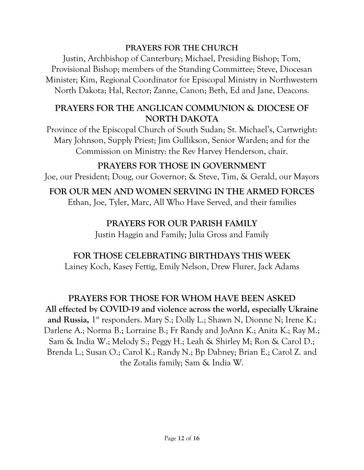## **PRAYERS FOR THE CHURCH**

Justin, Archbishop of Canterbury; Michael, Presiding Bishop; Tom, Provisional Bishop; members of the Standing Committee; Steve, Diocesan Minister; Kim, Regional Coordinator for Episcopal Ministry in Northwestern North Dakota; Hal, Rector; Zanne, Canon; Beth, Ed and Jane, Deacons.

## **PRAYERS FOR THE ANGLICAN COMMUNION & DIOCESE OF NORTH DAKOTA**

Province of the Episcopal Church of South Sudan; St. Michael's, Cartwright: Mary Johnson, Supply Priest; Jim Gullikson, Senior Warden; and for the Commission on Ministry: the Rev Harvey Henderson, chair.

## **PRAYERS FOR THOSE IN GOVERNMENT**

Joe, our President; Doug, our Governor; & Steve, Tim, & Gerald, our Mayors

## **FOR OUR MEN AND WOMEN SERVING IN THE ARMED FORCES**

Ethan, Joe, Tyler, Marc, All Who Have Served, and their families

## **PRAYERS FOR OUR PARISH FAMILY**

Justin Haggin and Family; Julia Gross and Family

## **FOR THOSE CELEBRATING BIRTHDAYS THIS WEEK**

Lainey Koch, Kasey Fettig, Emily Nelson, Drew Flurer, Jack Adams

## **PRAYERS FOR THOSE FOR WHOM HAVE BEEN ASKED**

**All effected by COVID-19 and violence across the world, especially Ukraine** and Russia, 1<sup>st</sup> responders. Mary S.; Dolly L.; Shawn N, Dionne N; Irene K.; Darlene A.; Norma B.; Lorraine B.; Fr Randy and JoAnn K.; Anita K.; Ray M.; Sam & India W.; Melody S.; Peggy H.; Leah & Shirley M; Ron & Carol D.; Brenda L.; Susan O.; Carol K.; Randy N.; Bp Dabney; Brian E.; Carol Z. and the Zotalis family; Sam & India W.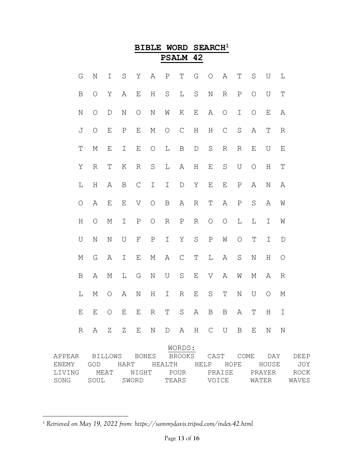|                                                                                        |                           |             |         |             | <b>BIBLE</b>  |                     | <b>WORD</b>   |             | SEARCH <sup>1</sup> |               |              |             |             |             |  |
|----------------------------------------------------------------------------------------|---------------------------|-------------|---------|-------------|---------------|---------------------|---------------|-------------|---------------------|---------------|--------------|-------------|-------------|-------------|--|
|                                                                                        |                           |             |         |             |               | <b>PSALM</b>        |               | 42          |                     |               |              |             |             |             |  |
| G                                                                                      | $\rm N$                   | I           | $\rm S$ | Υ           | Α             | $\, {\bf P}$        | T             | G           | $\circ$             | Α             | Τ            | S           | U           | L           |  |
| B                                                                                      | $\circ$                   | Υ           | Α       | Ε           | Η             | $\rm S$             | L             | $\rm S$     | $\rm N$             | $\mathbb R$   | $\, {\bf P}$ | $\circ$     | U           | $\mathbf T$ |  |
| $\rm N$                                                                                | $\circ$                   | $\mathbf D$ | N       | $\circ$     | $\mathbf N$   | W                   | Κ             | $\mathbf E$ | Α                   | $\circ$       | I            | $\circ$     | $\mathbf E$ | Α           |  |
| J                                                                                      | $\circ$                   | Ε           | $\rm P$ | $\mathbf E$ | М             | $\circ$             | $\mathcal{C}$ | $\rm H$     | Η                   | $\mathcal{C}$ | $\rm S$      | Α           | T           | R           |  |
| $\mathbf T$                                                                            | М                         | E           | I       | $\mathbf E$ | $\bigcirc$    | L                   | $\, {\bf B}$  | $\mathbb D$ | $\rm S$             | $\mathbb R$   | $\mathbb R$  | Ε           | U           | $\mathbf E$ |  |
| Υ                                                                                      | $\mathbb R$               | Τ           | К       | $\mathbb R$ | $\rm S$       | L                   | Α             | $\rm H$     | Ε                   | $\rm S$       | $\cup$       | $\circ$     | Η           | $\mathbb T$ |  |
| L                                                                                      | H                         | Α           | Β       | $\mathsf C$ | $\mathbbm{I}$ | I                   | $\mathbb D$   | Υ           | E                   | E             | Ρ            | Α           | $\mathbb N$ | Α           |  |
| $\circ$                                                                                | Α                         | Ε           | Ε       | V           | $\circ$       | $\, {\bf B}$        | Α             | $\mathbb R$ | Τ                   | Α             | $\, {\bf P}$ | S           | Α           | W           |  |
| H                                                                                      | $\circ$                   | М           | I       | ${\rm P}$   | $\circ$       | $\mathbb R$         | $\, {\bf P}$  | $\mathbb R$ | $\bigcirc$          | $\bigcirc$    | L            | $\mathbb L$ | I           | W           |  |
| U                                                                                      | $\rm N$                   | $\mathbb N$ | U       | $\mathbf F$ | $\, {\bf P}$  | I                   | Υ             | $\rm S$     | $\, {\bf P}$        | W             | $\circ$      | Τ           | I           | $\mathbb D$ |  |
| М                                                                                      | G                         | Α           | Ι       | Ε           | М             | Α                   | $\mathsf{C}$  | $\mathbf T$ | L                   | Α             | $\rm S$      | N           | Η           | $\circ$     |  |
| $\mathbf B$                                                                            | Α                         | М           | L       | G           | $\mathbf N$   | U                   | $\mathbf S$   | $\mathbf E$ | V                   | Α             | W            | М           | Α           | R           |  |
| L                                                                                      | М                         | O           | Α       | N           | Η             | Ι                   | R             | Ε           | S                   | Τ             | N            | U           | O           | М           |  |
| E                                                                                      | $E_{\perp}$               |             |         |             |               | O E E R T S A B B A |               |             |                     |               |              |             | T H I       |             |  |
|                                                                                        | R A Z Z E N D A H C U B E |             |         |             |               |                     |               |             |                     |               |              |             | N           | N           |  |
|                                                                                        |                           |             |         |             |               |                     | WORDS:        |             |                     |               |              |             |             |             |  |
| APPEAR BILLOWS BONES BROOKS CAST COME DAY DEEP                                         |                           |             |         |             |               |                     |               |             |                     |               |              |             |             |             |  |
| ENEMY GOD HART HEALTH HELP HOPE HOUSE JOY<br>LIVING MEAT NIGHT POUR PRAISE PRAYER ROCK |                           |             |         |             |               |                     |               |             |                     |               |              |             |             |             |  |

## <sup>1</sup> *Retrieved on May 19, 2022 from: https://sammydavis.tripod.com/index-42.html*

SONG SOUL SWORD TEARS VOICE WATER WAVES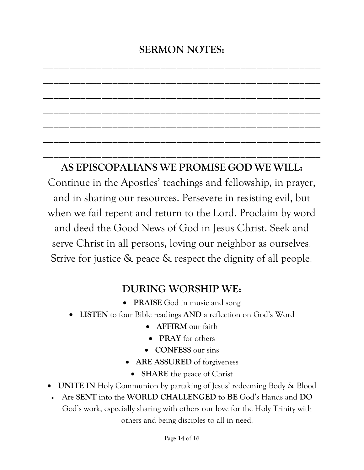# **SERMON NOTES:**

**\_\_\_\_\_\_\_\_\_\_\_\_\_\_\_\_\_\_\_\_\_\_\_\_\_\_\_\_\_\_\_\_\_\_\_\_\_\_\_\_\_\_\_\_\_\_\_\_\_\_\_\_**

**\_\_\_\_\_\_\_\_\_\_\_\_\_\_\_\_\_\_\_\_\_\_\_\_\_\_\_\_\_\_\_\_\_\_\_\_\_\_\_\_\_\_\_\_\_\_\_\_\_\_\_\_**

**\_\_\_\_\_\_\_\_\_\_\_\_\_\_\_\_\_\_\_\_\_\_\_\_\_\_\_\_\_\_\_\_\_\_\_\_\_\_\_\_\_\_\_\_\_\_\_\_\_\_\_\_**

**\_\_\_\_\_\_\_\_\_\_\_\_\_\_\_\_\_\_\_\_\_\_\_\_\_\_\_\_\_\_\_\_\_\_\_\_\_\_\_\_\_\_\_\_\_\_\_\_\_\_\_\_**

**\_\_\_\_\_\_\_\_\_\_\_\_\_\_\_\_\_\_\_\_\_\_\_\_\_\_\_\_\_\_\_\_\_\_\_\_\_\_\_\_\_\_\_\_\_\_\_\_\_\_\_\_**

**\_\_\_\_\_\_\_\_\_\_\_\_\_\_\_\_\_\_\_\_\_\_\_\_\_\_\_\_\_\_\_\_\_\_\_\_\_\_\_\_\_\_\_\_\_\_\_\_\_\_\_\_**

**\_\_\_\_\_\_\_\_\_\_\_\_\_\_\_\_\_\_\_\_\_\_\_\_\_\_\_\_\_\_\_\_\_\_\_\_\_\_\_\_\_\_\_\_\_\_\_\_\_\_\_\_**

## **AS EPISCOPALIANS WE PROMISE GOD WE WILL:**

Continue in the Apostles' teachings and fellowship, in prayer, and in sharing our resources. Persevere in resisting evil, but when we fail repent and return to the Lord. Proclaim by word and deed the Good News of God in Jesus Christ. Seek and serve Christ in all persons, loving our neighbor as ourselves. Strive for justice & peace & respect the dignity of all people.

## **DURING WORSHIP WE:**

- **PRAISE** God in music and song
- **LISTEN** to four Bible readings **AND** a reflection on God's Word
	- **AFFIRM** our faith
	- **PRAY** for others
	- **CONFESS** our sins
	- **ARE ASSURED** of forgiveness
	- **SHARE** the peace of Christ
- **UNITE IN** Holy Communion by partaking of Jesus' redeeming Body & Blood
- Are **SENT** into the **WORLD CHALLENGED** to **BE** God's Hands and **DO**  God's work, especially sharing with others our love for the Holy Trinity with others and being disciples to all in need.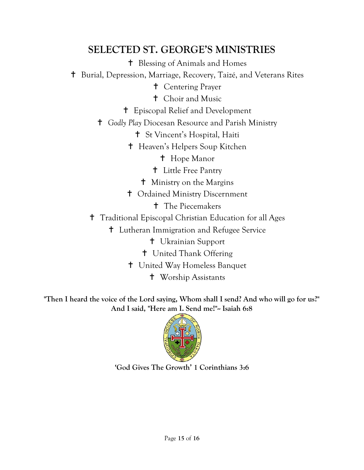## **SELECTED ST. GEORGE'S MINISTRIES**

Blessing of Animals and Homes

Burial, Depression, Marriage, Recovery, Taizé, and Veterans Rites

Centering Prayer

Choir and Music

Episcopal Relief and Development

*Godly Play* Diocesan Resource and Parish Ministry

St Vincent's Hospital, Haiti

Heaven's Helpers Soup Kitchen

**t** Hope Manor

Little Free Pantry

Ministry on the Margins

Ordained Ministry Discernment

**t** The Piecemakers

Traditional Episcopal Christian Education for all Ages

Lutheran Immigration and Refugee Service

Ukrainian Support

United Thank Offering

United Way Homeless Banquet

Worship Assistants

**"Then I heard the voice of the Lord saying, Whom shall I send? And who will go for us?" And I said, "Here am I. Send me!"-- Isaiah 6:8**



**'God Gives The Growth' 1 Corinthians 3:6**